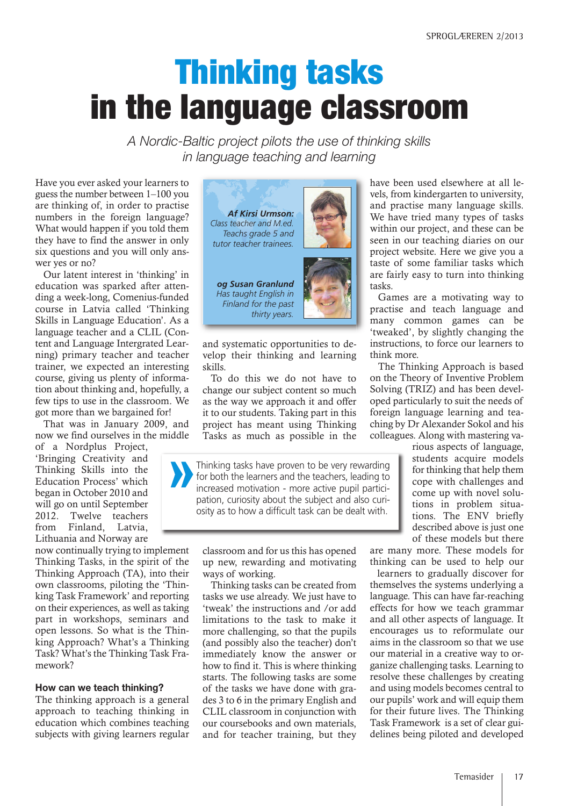# **Thinking tasks in the language classroom**

*A Nordic-Baltic project pilots the use of thinking skills in language teaching and learning*

Have you ever asked your learners to guess the number between 1–100 you are thinking of, in order to practise numbers in the foreign language? What would happen if you told them they have to find the answer in only six questions and you will only answer yes or no?

Our latent interest in 'thinking' in education was sparked after attending a week-long, Comenius-funded course in Latvia called 'Thinking Skills in Language Education'. As a language teacher and a CLIL (Content and Language Intergrated Learning) primary teacher and teacher trainer, we expected an interesting course, giving us plenty of information about thinking and, hopefully, a few tips to use in the classroom. We got more than we bargained for!

That was in January 2009, and now we find ourselves in the middle

of a Nordplus Project, 'Bringing Creativity and Thinking Skills into the Education Process' which began in October 2010 and will go on until September 2012. Twelve teachers from Finland, Latvia, Lithuania and Norway are

now continually trying to implement Thinking Tasks, in the spirit of the Thinking Approach (TA), into their own classrooms, piloting the 'Thinking Task Framework' and reporting on their experiences, as well as taking part in workshops, seminars and open lessons. So what is the Thinking Approach? What's a Thinking Task? What's the Thinking Task Framework?

#### **How can we teach thinking?**

The thinking approach is a general approach to teaching thinking in education which combines teaching subjects with giving learners regular



*og Susan Granlund Has taught English in*



and systematic opportunities to develop their thinking and learning skills.

To do this we do not have to change our subject content so much as the way we approach it and offer it to our students. Taking part in this project has meant using Thinking Tasks as much as possible in the

Thinking tasks have proven to be very rewarding for both the learners and the teachers, leading to increased motivation - more active pupil participation, curiosity about the subject and also curiosity as to how a difficult task can be dealt with.

classroom and for us this has opened up new, rewarding and motivating ways of working.

Thinking tasks can be created from tasks we use already. We just have to 'tweak' the instructions and /or add limitations to the task to make it more challenging, so that the pupils (and possibly also the teacher) don't immediately know the answer or how to find it. This is where thinking starts. The following tasks are some of the tasks we have done with grades 3 to 6 in the primary English and CLIL classroom in conjunction with our coursebooks and own materials, and for teacher training, but they have been used elsewhere at all levels, from kindergarten to university, and practise many language skills. We have tried many types of tasks within our project, and these can be seen in our teaching diaries on our project website. Here we give you a taste of some familiar tasks which are fairly easy to turn into thinking tasks.

Games are a motivating way to practise and teach language and many common games can be 'tweaked', by slightly changing the instructions, to force our learners to think more.

The Thinking Approach is based on the Theory of Inventive Problem Solving (TRIZ) and has been developed particularly to suit the needs of foreign language learning and teaching by Dr Alexander Sokol and his colleagues. Along with mastering va-

rious aspects of language, students acquire models for thinking that help them cope with challenges and come up with novel solutions in problem situations. The ENV briefly described above is just one of these models but there

are many more. These models for thinking can be used to help our

learners to gradually discover for themselves the systems underlying a language. This can have far-reaching effects for how we teach grammar and all other aspects of language. It encourages us to reformulate our aims in the classroom so that we use our material in a creative way to organize challenging tasks. Learning to resolve these challenges by creating and using models becomes central to our pupils' work and will equip them for their future lives. The Thinking Task Framework is a set of clear guidelines being piloted and developed

Temasider | 17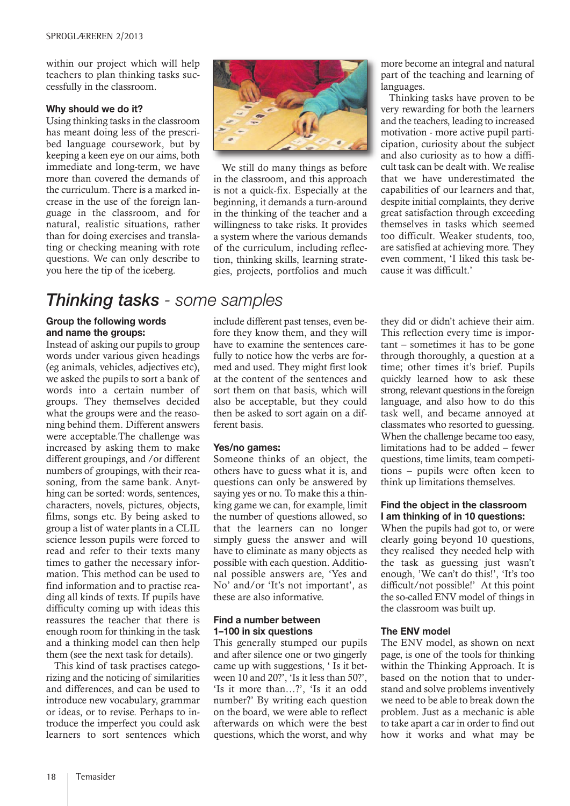within our project which will help teachers to plan thinking tasks successfully in the classroom.

#### **Why should we do it?**

Using thinking tasks in the classroom has meant doing less of the prescribed language coursework, but by keeping a keen eye on our aims, both immediate and long-term, we have more than covered the demands of the curriculum. There is a marked increase in the use of the foreign language in the classroom, and for natural, realistic situations, rather than for doing exercises and translating or checking meaning with rote questions. We can only describe to you here the tip of the iceberg.

## *Thinking tasks - some samples*

#### **Group the following words and name the groups:**

Instead of asking our pupils to group words under various given headings (eg animals, vehicles, adjectives etc), we asked the pupils to sort a bank of words into a certain number of groups. They themselves decided what the groups were and the reasoning behind them. Different answers were acceptable.The challenge was increased by asking them to make different groupings, and /or different numbers of groupings, with their reasoning, from the same bank. Anything can be sorted: words, sentences, characters, novels, pictures, objects, films, songs etc. By being asked to group a list of water plants in a CLIL science lesson pupils were forced to read and refer to their texts many times to gather the necessary information. This method can be used to find information and to practise reading all kinds of texts. If pupils have difficulty coming up with ideas this reassures the teacher that there is enough room for thinking in the task and a thinking model can then help them (see the next task for details).

This kind of task practises categorizing and the noticing of similarities and differences, and can be used to introduce new vocabulary, grammar or ideas, or to revise. Perhaps to introduce the imperfect you could ask learners to sort sentences which



We still do many things as before in the classroom, and this approach is not a quick-fix. Especially at the beginning, it demands a turn-around in the thinking of the teacher and a willingness to take risks. It provides a system where the various demands of the curriculum, including reflection, thinking skills, learning strategies, projects, portfolios and much

include different past tenses, even before they know them, and they will have to examine the sentences carefully to notice how the verbs are formed and used. They might first look at the content of the sentences and sort them on that basis, which will also be acceptable, but they could then be asked to sort again on a different basis.

#### **Yes/no games:**

Someone thinks of an object, the others have to guess what it is, and questions can only be answered by saying yes or no. To make this a thinking game we can, for example, limit the number of questions allowed, so that the learners can no longer simply guess the answer and will have to eliminate as many objects as possible with each question. Additional possible answers are, 'Yes and No' and/or 'It's not important', as these are also informative.

#### **Find a number between 1–100 in six questions**

This generally stumped our pupils and after silence one or two gingerly came up with suggestions, ' Is it between 10 and 20?', 'Is it less than 50?', 'Is it more than…?', 'Is it an odd number?' By writing each question on the board, we were able to reflect afterwards on which were the best questions, which the worst, and why

more become an integral and natural part of the teaching and learning of languages.

Thinking tasks have proven to be very rewarding for both the learners and the teachers, leading to increased motivation - more active pupil participation, curiosity about the subject and also curiosity as to how a difficult task can be dealt with. We realise that we have underestimated the capabilities of our learners and that, despite initial complaints, they derive great satisfaction through exceeding themselves in tasks which seemed too difficult. Weaker students, too, are satisfied at achieving more. They even comment, 'I liked this task because it was difficult.'

they did or didn't achieve their aim. This reflection every time is important – sometimes it has to be gone through thoroughly, a question at a time; other times it's brief. Pupils quickly learned how to ask these strong, relevant questions in the foreign language, and also how to do this task well, and became annoyed at classmates who resorted to guessing. When the challenge became too easy, limitations had to be added – fewer questions, time limits, team competitions – pupils were often keen to think up limitations themselves.

#### **Find the object in the classroom I am thinking of in 10 questions:**

When the pupils had got to, or were clearly going beyond 10 questions, they realised they needed help with the task as guessing just wasn't enough, 'We can't do this!', 'It's too difficult/not possible!' At this point the so-called ENV model of things in the classroom was built up.

#### **The ENV model**

The ENV model, as shown on next page, is one of the tools for thinking within the Thinking Approach. It is based on the notion that to understand and solve problems inventively we need to be able to break down the problem. Just as a mechanic is able to take apart a car in order to find out how it works and what may be